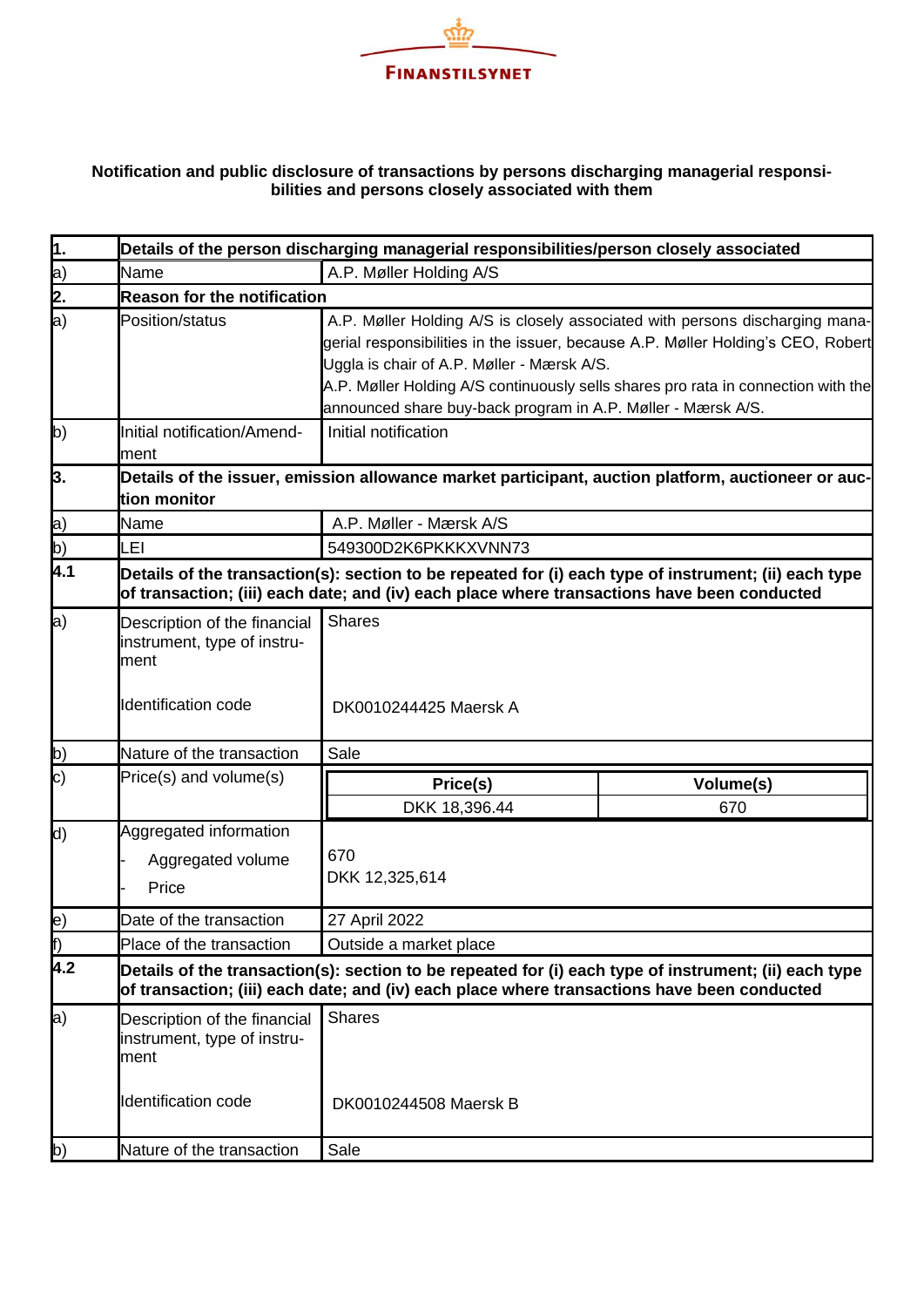

## **Notification and public disclosure of transactions by persons discharging managerial responsibilities and persons closely associated with them**

| $\overline{1}$ . |                                                                     | Details of the person discharging managerial responsibilities/person closely associated                                                                                                                                                                                                                                                                             |                  |  |  |
|------------------|---------------------------------------------------------------------|---------------------------------------------------------------------------------------------------------------------------------------------------------------------------------------------------------------------------------------------------------------------------------------------------------------------------------------------------------------------|------------------|--|--|
|                  | Name                                                                | A.P. Møller Holding A/S                                                                                                                                                                                                                                                                                                                                             |                  |  |  |
| a)<br>2.         | <b>Reason for the notification</b>                                  |                                                                                                                                                                                                                                                                                                                                                                     |                  |  |  |
| a)               | Position/status                                                     | A.P. Møller Holding A/S is closely associated with persons discharging mana-<br>gerial responsibilities in the issuer, because A.P. Møller Holding's CEO, Robert<br>Uggla is chair of A.P. Møller - Mærsk A/S.<br>A.P. Møller Holding A/S continuously sells shares pro rata in connection with the<br>announced share buy-back program in A.P. Møller - Mærsk A/S. |                  |  |  |
| b)               | Initial notification/Amend-<br>ment                                 | Initial notification                                                                                                                                                                                                                                                                                                                                                |                  |  |  |
| þ.               | tion monitor                                                        | Details of the issuer, emission allowance market participant, auction platform, auctioneer or auc-                                                                                                                                                                                                                                                                  |                  |  |  |
|                  | Name                                                                | A.P. Møller - Mærsk A/S                                                                                                                                                                                                                                                                                                                                             |                  |  |  |
| a)<br>b)         | LEI                                                                 | 549300D2K6PKKKXVNN73                                                                                                                                                                                                                                                                                                                                                |                  |  |  |
| $\overline{4.1}$ |                                                                     | Details of the transaction(s): section to be repeated for (i) each type of instrument; (ii) each type<br>of transaction; (iii) each date; and (iv) each place where transactions have been conducted                                                                                                                                                                |                  |  |  |
| a)               | Description of the financial<br>instrument, type of instru-<br>ment | <b>Shares</b>                                                                                                                                                                                                                                                                                                                                                       |                  |  |  |
|                  | Identification code                                                 | DK0010244425 Maersk A                                                                                                                                                                                                                                                                                                                                               |                  |  |  |
| b)               | Nature of the transaction                                           | Sale                                                                                                                                                                                                                                                                                                                                                                |                  |  |  |
| $\ket{\text{c}}$ | Price(s) and volume(s)                                              | Price(s)<br>DKK 18,396.44                                                                                                                                                                                                                                                                                                                                           | Volume(s)<br>670 |  |  |
| d)               | Aggregated information<br>Aggregated volume<br>Price                | 670<br>DKK 12,325,614                                                                                                                                                                                                                                                                                                                                               |                  |  |  |
| e)               | Date of the transaction                                             | 27 April 2022                                                                                                                                                                                                                                                                                                                                                       |                  |  |  |
| f)               | Place of the transaction                                            | Outside a market place                                                                                                                                                                                                                                                                                                                                              |                  |  |  |
| 4.2              |                                                                     | Details of the transaction(s): section to be repeated for (i) each type of instrument; (ii) each type<br>of transaction; (iii) each date; and (iv) each place where transactions have been conducted                                                                                                                                                                |                  |  |  |
| a)               | Description of the financial<br>instrument, type of instru-<br>ment | <b>Shares</b>                                                                                                                                                                                                                                                                                                                                                       |                  |  |  |
|                  | <b>Identification code</b>                                          | DK0010244508 Maersk B                                                                                                                                                                                                                                                                                                                                               |                  |  |  |
| b)               | Nature of the transaction                                           | Sale                                                                                                                                                                                                                                                                                                                                                                |                  |  |  |